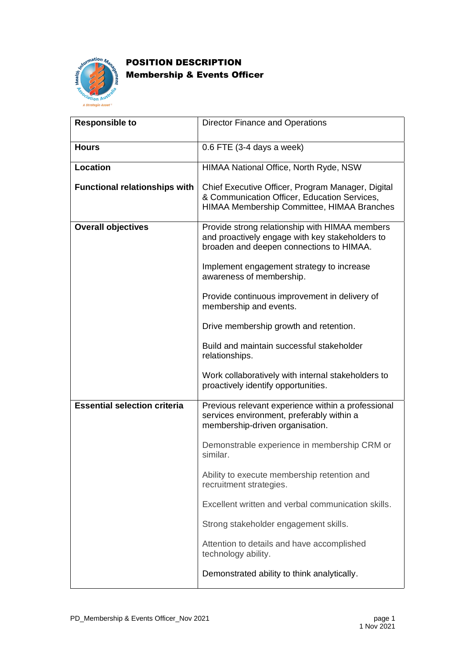

## POSITION DESCRIPTION Membership & Events Officer

| <b>Responsible to</b>                | <b>Director Finance and Operations</b>                                                                                                          |
|--------------------------------------|-------------------------------------------------------------------------------------------------------------------------------------------------|
| <b>Hours</b>                         | $0.6$ FTE (3-4 days a week)                                                                                                                     |
| <b>Location</b>                      | HIMAA National Office, North Ryde, NSW                                                                                                          |
| <b>Functional relationships with</b> | Chief Executive Officer, Program Manager, Digital<br>& Communication Officer, Education Services,<br>HIMAA Membership Committee, HIMAA Branches |
| <b>Overall objectives</b>            | Provide strong relationship with HIMAA members<br>and proactively engage with key stakeholders to<br>broaden and deepen connections to HIMAA.   |
|                                      | Implement engagement strategy to increase<br>awareness of membership.                                                                           |
|                                      | Provide continuous improvement in delivery of<br>membership and events.                                                                         |
|                                      | Drive membership growth and retention.                                                                                                          |
|                                      | Build and maintain successful stakeholder<br>relationships.                                                                                     |
|                                      | Work collaboratively with internal stakeholders to<br>proactively identify opportunities.                                                       |
| <b>Essential selection criteria</b>  | Previous relevant experience within a professional<br>services environment, preferably within a<br>membership-driven organisation.              |
|                                      | Demonstrable experience in membership CRM or<br>similar.                                                                                        |
|                                      | Ability to execute membership retention and<br>recruitment strategies.                                                                          |
|                                      | Excellent written and verbal communication skills.                                                                                              |
|                                      | Strong stakeholder engagement skills.                                                                                                           |
|                                      | Attention to details and have accomplished<br>technology ability.                                                                               |
|                                      | Demonstrated ability to think analytically.                                                                                                     |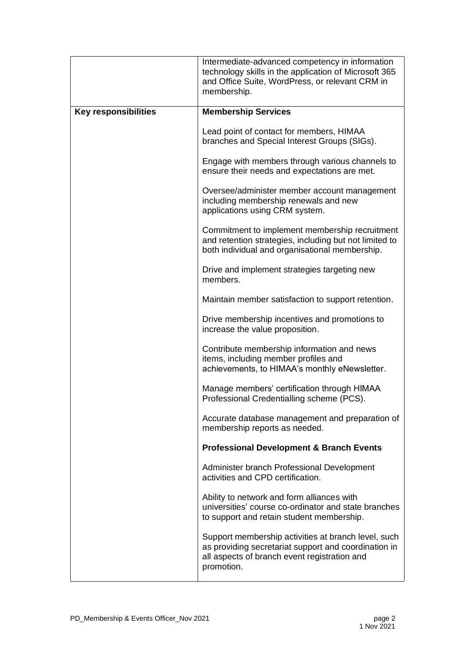|                             | Intermediate-advanced competency in information<br>technology skills in the application of Microsoft 365<br>and Office Suite, WordPress, or relevant CRM in<br>membership. |
|-----------------------------|----------------------------------------------------------------------------------------------------------------------------------------------------------------------------|
| <b>Key responsibilities</b> | <b>Membership Services</b>                                                                                                                                                 |
|                             | Lead point of contact for members, HIMAA<br>branches and Special Interest Groups (SIGs).                                                                                   |
|                             | Engage with members through various channels to<br>ensure their needs and expectations are met.                                                                            |
|                             | Oversee/administer member account management<br>including membership renewals and new<br>applications using CRM system.                                                    |
|                             | Commitment to implement membership recruitment<br>and retention strategies, including but not limited to<br>both individual and organisational membership.                 |
|                             | Drive and implement strategies targeting new<br>members.                                                                                                                   |
|                             | Maintain member satisfaction to support retention.                                                                                                                         |
|                             | Drive membership incentives and promotions to<br>increase the value proposition.                                                                                           |
|                             | Contribute membership information and news<br>items, including member profiles and<br>achievements, to HIMAA's monthly eNewsletter.                                        |
|                             | Manage members' certification through HIMAA<br>Professional Credentialling scheme (PCS).                                                                                   |
|                             | Accurate database management and preparation of<br>membership reports as needed.                                                                                           |
|                             | <b>Professional Development &amp; Branch Events</b>                                                                                                                        |
|                             | Administer branch Professional Development<br>activities and CPD certification.                                                                                            |
|                             | Ability to network and form alliances with<br>universities' course co-ordinator and state branches<br>to support and retain student membership.                            |
|                             | Support membership activities at branch level, such<br>as providing secretariat support and coordination in<br>all aspects of branch event registration and<br>promotion.  |